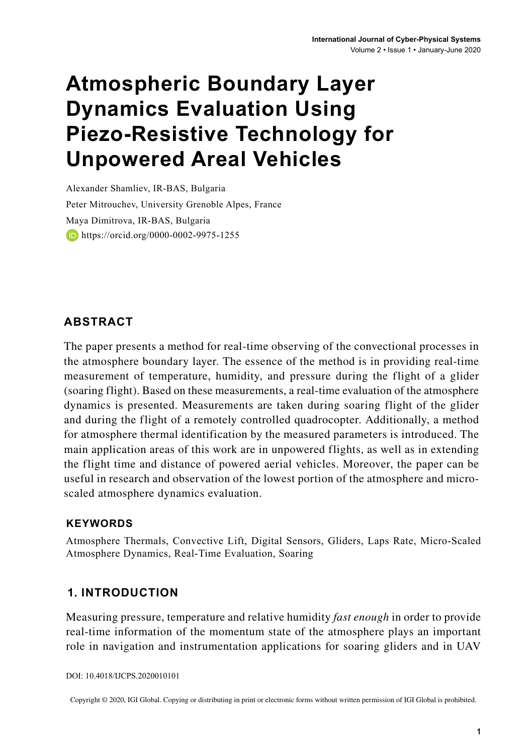# **Atmospheric Boundary Layer Dynamics Evaluation Using Piezo-Resistive Technology for Unpowered Areal Vehicles**

Alexander Shamliev, IR-BAS, Bulgaria Peter Mitrouchev, University Grenoble Alpes, France Maya Dimitrova, IR-BAS, Bulgaria **https://orcid.org/0000-0002-9975-1255** 

## **ABSTRACT**

The paper presents a method for real-time observing of the convectional processes in the atmosphere boundary layer. The essence of the method is in providing real-time measurement of temperature, humidity, and pressure during the flight of a glider (soaring flight). Based on these measurements, a real-time evaluation of the atmosphere dynamics is presented. Measurements are taken during soaring flight of the glider and during the flight of a remotely controlled quadrocopter. Additionally, a method for atmosphere thermal identification by the measured parameters is introduced. The main application areas of this work are in unpowered flights, as well as in extending the flight time and distance of powered aerial vehicles. Moreover, the paper can be useful in research and observation of the lowest portion of the atmosphere and microscaled atmosphere dynamics evaluation.

#### **Keywords**

Atmosphere Thermals, Convective Lift, Digital Sensors, Gliders, Laps Rate, Micro-Scaled Atmosphere Dynamics, Real-Time Evaluation, Soaring

### **1. INTRODUCTION**

Measuring pressure, temperature and relative humidity *fast enough* in order to provide real-time information of the momentum state of the atmosphere plays an important role in navigation and instrumentation applications for soaring gliders and in UAV

```
DOI: 10.4018/IJCPS.2020010101
```
Copyright © 2020, IGI Global. Copying or distributing in print or electronic forms without written permission of IGI Global is prohibited.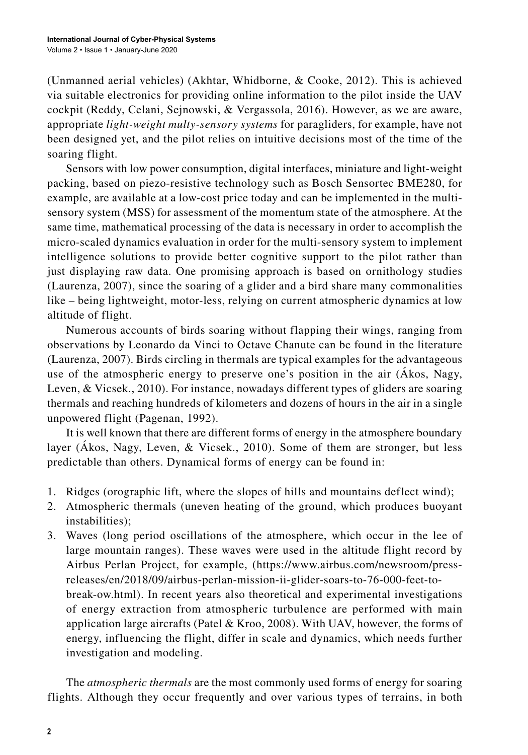(Unmanned aerial vehicles) (Akhtar, Whidborne, & Cooke, 2012). This is achieved via suitable electronics for providing online information to the pilot inside the UAV cockpit (Reddy, Celani, Sejnowski, & Vergassola, 2016). However, as we are aware, appropriate *light-weight multy-sensory systems* for paragliders, for example, have not been designed yet, and the pilot relies on intuitive decisions most of the time of the soaring flight.

Sensors with low power consumption, digital interfaces, miniature and light-weight packing, based on piezo-resistive technology such as Bosch Sensortec BME280, for example, are available at a low-cost price today and can be implemented in the multisensory system (MSS) for assessment of the momentum state of the atmosphere. At the same time, mathematical processing of the data is necessary in order to accomplish the micro-scaled dynamics evaluation in order for the multi-sensory system to implement intelligence solutions to provide better cognitive support to the pilot rather than just displaying raw data. One promising approach is based on ornithology studies (Laurenza, 2007), since the soaring of a glider and a bird share many commonalities like – being lightweight, motor-less, relying on current atmospheric dynamics at low altitude of flight.

Numerous accounts of birds soaring without flapping their wings, ranging from observations by Leonardo da Vinci to Octave Chanute can be found in the literature (Laurenza, 2007). Birds circling in thermals are typical examples for the advantageous use of the atmospheric energy to preserve one's position in the air (Ákos, Nagy, Leven, & Vicsek., 2010). For instance, nowadays different types of gliders are soaring thermals and reaching hundreds of kilometers and dozens of hours in the air in a single unpowered flight (Pagenan, 1992).

It is well known that there are different forms of energy in the atmosphere boundary layer (Ákos, Nagy, Leven, & Vicsek., 2010). Some of them are stronger, but less predictable than others. Dynamical forms of energy can be found in:

- 1. Ridges (orographic lift, where the slopes of hills and mountains deflect wind);
- 2. Atmospheric thermals (uneven heating of the ground, which produces buoyant instabilities);
- 3. Waves (long period oscillations of the atmosphere, which occur in the lee of large mountain ranges). These waves were used in the altitude flight record by Airbus Perlan Project, for example, (https://www.airbus.com/newsroom/pressreleases/en/2018/09/airbus-perlan-mission-ii-glider-soars-to-76-000-feet-tobreak-ow.html). In recent years also theoretical and experimental investigations of energy extraction from atmospheric turbulence are performed with main application large aircrafts (Patel & Kroo, 2008). With UAV, however, the forms of energy, influencing the flight, differ in scale and dynamics, which needs further investigation and modeling.

The *atmospheric thermals* are the most commonly used forms of energy for soaring flights. Although they occur frequently and over various types of terrains, in both